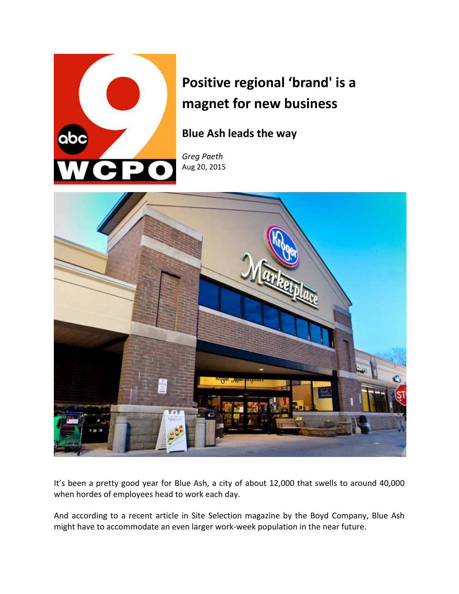

## **Positive regional 'brand' is a magnet for new business**

**Blue Ash leads the way**

*Greg Paeth*  Aug 20, 2015



It's been a pretty good year for Blue Ash, a city of about 12,000 that swells to around 40,000 when hordes of employees head to work each day.

And according to a recent article in Site Selection magazine by the Boyd Company, Blue Ash might have to accommodate an even larger work‐week population in the near future.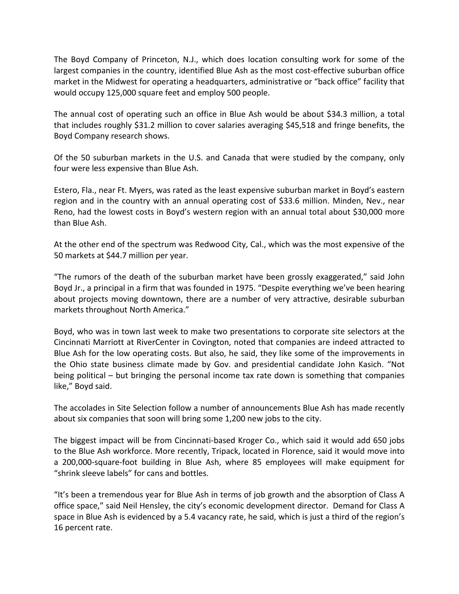The Boyd Company of Princeton, N.J., which does location consulting work for some of the largest companies in the country, identified Blue Ash as the most cost-effective suburban office market in the Midwest for operating a headquarters, administrative or "back office" facility that would occupy 125,000 square feet and employ 500 people.

The annual cost of operating such an office in Blue Ash would be about \$34.3 million, a total that includes roughly \$31.2 million to cover salaries averaging \$45,518 and fringe benefits, the Boyd Company research shows.

Of the 50 suburban markets in the U.S. and Canada that were studied by the company, only four were less expensive than Blue Ash.

Estero, Fla., near Ft. Myers, was rated as the least expensive suburban market in Boyd's eastern region and in the country with an annual operating cost of \$33.6 million. Minden, Nev., near Reno, had the lowest costs in Boyd's western region with an annual total about \$30,000 more than Blue Ash.

At the other end of the spectrum was Redwood City, Cal., which was the most expensive of the 50 markets at \$44.7 million per year.

"The rumors of the death of the suburban market have been grossly exaggerated," said John Boyd Jr., a principal in a firm that was founded in 1975. "Despite everything we've been hearing about projects moving downtown, there are a number of very attractive, desirable suburban markets throughout North America."

Boyd, who was in town last week to make two presentations to corporate site selectors at the Cincinnati Marriott at RiverCenter in Covington, noted that companies are indeed attracted to Blue Ash for the low operating costs. But also, he said, they like some of the improvements in the Ohio state business climate made by Gov. and presidential candidate John Kasich. "Not being political – but bringing the personal income tax rate down is something that companies like," Boyd said.

The accolades in Site Selection follow a number of announcements Blue Ash has made recently about six companies that soon will bring some 1,200 new jobs to the city.

The biggest impact will be from Cincinnati‐based Kroger Co., which said it would add 650 jobs to the Blue Ash workforce. More recently, Tripack, located in Florence, said it would move into a 200,000‐square‐foot building in Blue Ash, where 85 employees will make equipment for "shrink sleeve labels" for cans and bottles.

"It's been a tremendous year for Blue Ash in terms of job growth and the absorption of Class A office space," said Neil Hensley, the city's economic development director. Demand for Class A space in Blue Ash is evidenced by a 5.4 vacancy rate, he said, which is just a third of the region's 16 percent rate.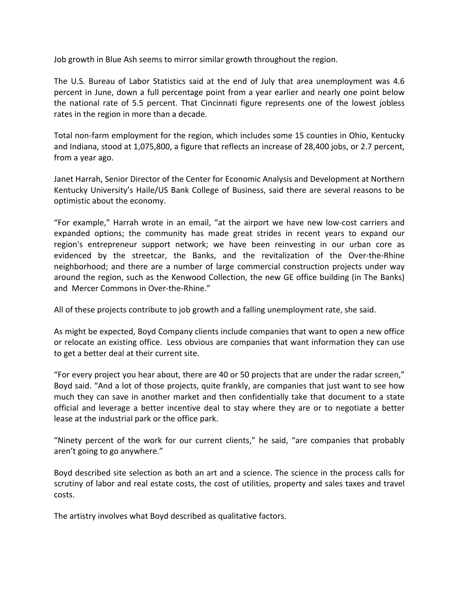Job growth in Blue Ash seems to mirror similar growth throughout the region.

The U.S. Bureau of Labor Statistics said at the end of July that area unemployment was 4.6 percent in June, down a full percentage point from a year earlier and nearly one point below the national rate of 5.5 percent. That Cincinnati figure represents one of the lowest jobless rates in the region in more than a decade.

Total non-farm employment for the region, which includes some 15 counties in Ohio, Kentucky and Indiana, stood at 1,075,800, a figure that reflects an increase of 28,400 jobs, or 2.7 percent, from a year ago.

Janet Harrah, Senior Director of the Center for Economic Analysis and Development at Northern Kentucky University's Haile/US Bank College of Business, said there are several reasons to be optimistic about the economy.

"For example," Harrah wrote in an email, "at the airport we have new low‐cost carriers and expanded options; the community has made great strides in recent years to expand our region's entrepreneur support network; we have been reinvesting in our urban core as evidenced by the streetcar, the Banks, and the revitalization of the Over-the-Rhine neighborhood; and there are a number of large commercial construction projects under way around the region, such as the Kenwood Collection, the new GE office building (in The Banks) and Mercer Commons in Over-the-Rhine."

All of these projects contribute to job growth and a falling unemployment rate, she said.

As might be expected, Boyd Company clients include companies that want to open a new office or relocate an existing office. Less obvious are companies that want information they can use to get a better deal at their current site.

"For every project you hear about, there are 40 or 50 projects that are under the radar screen," Boyd said. "And a lot of those projects, quite frankly, are companies that just want to see how much they can save in another market and then confidentially take that document to a state official and leverage a better incentive deal to stay where they are or to negotiate a better lease at the industrial park or the office park.

"Ninety percent of the work for our current clients," he said, "are companies that probably aren't going to go anywhere."

Boyd described site selection as both an art and a science. The science in the process calls for scrutiny of labor and real estate costs, the cost of utilities, property and sales taxes and travel costs.

The artistry involves what Boyd described as qualitative factors.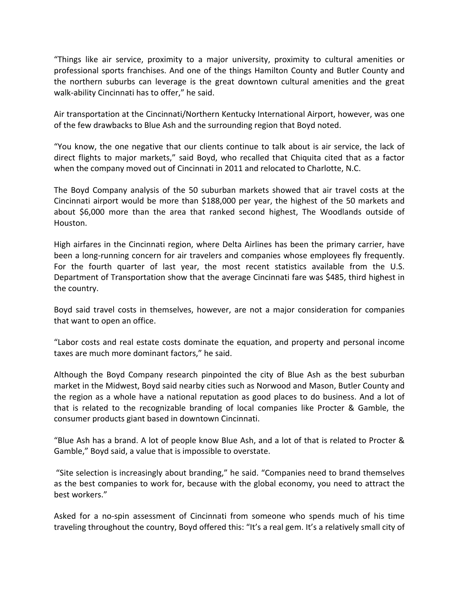"Things like air service, proximity to a major university, proximity to cultural amenities or professional sports franchises. And one of the things Hamilton County and Butler County and the northern suburbs can leverage is the great downtown cultural amenities and the great walk‐ability Cincinnati has to offer," he said.

Air transportation at the Cincinnati/Northern Kentucky International Airport, however, was one of the few drawbacks to Blue Ash and the surrounding region that Boyd noted.

"You know, the one negative that our clients continue to talk about is air service, the lack of direct flights to major markets," said Boyd, who recalled that Chiquita cited that as a factor when the company moved out of Cincinnati in 2011 and relocated to Charlotte, N.C.

The Boyd Company analysis of the 50 suburban markets showed that air travel costs at the Cincinnati airport would be more than \$188,000 per year, the highest of the 50 markets and about \$6,000 more than the area that ranked second highest, The Woodlands outside of Houston.

High airfares in the Cincinnati region, where Delta Airlines has been the primary carrier, have been a long-running concern for air travelers and companies whose employees fly frequently. For the fourth quarter of last year, the most recent statistics available from the U.S. Department of Transportation show that the average Cincinnati fare was \$485, third highest in the country.

Boyd said travel costs in themselves, however, are not a major consideration for companies that want to open an office.

"Labor costs and real estate costs dominate the equation, and property and personal income taxes are much more dominant factors," he said.

Although the Boyd Company research pinpointed the city of Blue Ash as the best suburban market in the Midwest, Boyd said nearby cities such as Norwood and Mason, Butler County and the region as a whole have a national reputation as good places to do business. And a lot of that is related to the recognizable branding of local companies like Procter & Gamble, the consumer products giant based in downtown Cincinnati.

"Blue Ash has a brand. A lot of people know Blue Ash, and a lot of that is related to Procter & Gamble," Boyd said, a value that is impossible to overstate.

"Site selection is increasingly about branding," he said. "Companies need to brand themselves as the best companies to work for, because with the global economy, you need to attract the best workers."

Asked for a no‐spin assessment of Cincinnati from someone who spends much of his time traveling throughout the country, Boyd offered this: "It's a real gem. It's a relatively small city of